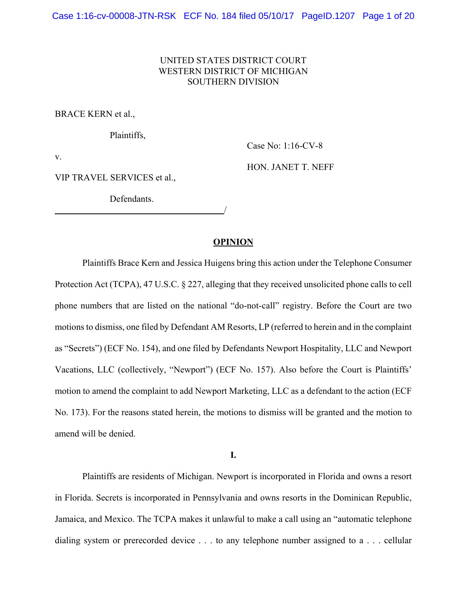# UNITED STATES DISTRICT COURT WESTERN DISTRICT OF MICHIGAN SOUTHERN DIVISION

BRACE KERN et al.,

Plaintiffs,

Case No: 1:16-CV-8

v.

HON. JANET T. NEFF

VIP TRAVEL SERVICES et al.,

Defendants.

<u>/</u>

# **OPINION**

Plaintiffs Brace Kern and Jessica Huigens bring this action under the Telephone Consumer Protection Act (TCPA), 47 U.S.C. § 227, alleging that they received unsolicited phone calls to cell phone numbers that are listed on the national "do-not-call" registry. Before the Court are two motions to dismiss, one filed by Defendant AM Resorts, LP (referred to herein and in the complaint as "Secrets") (ECF No. 154), and one filed by Defendants Newport Hospitality, LLC and Newport Vacations, LLC (collectively, "Newport") (ECF No. 157). Also before the Court is Plaintiffs' motion to amend the complaint to add Newport Marketing, LLC as a defendant to the action (ECF No. 173). For the reasons stated herein, the motions to dismiss will be granted and the motion to amend will be denied.

**I.**

Plaintiffs are residents of Michigan. Newport is incorporated in Florida and owns a resort in Florida. Secrets is incorporated in Pennsylvania and owns resorts in the Dominican Republic, Jamaica, and Mexico. The TCPA makes it unlawful to make a call using an "automatic telephone dialing system or prerecorded device . . . to any telephone number assigned to a . . . cellular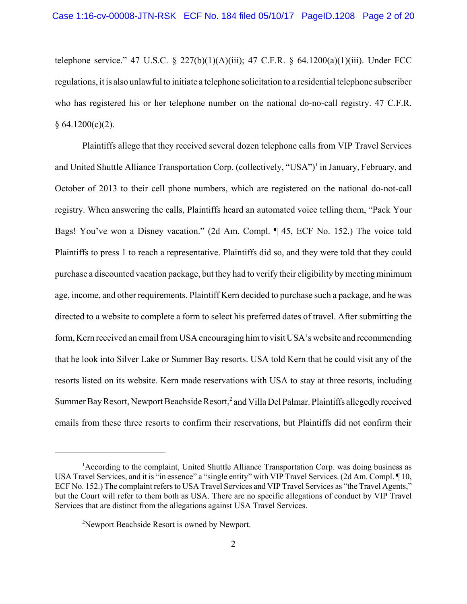telephone service." 47 U.S.C. § 227(b)(1)(A)(iii); 47 C.F.R. § 64.1200(a)(1)(iii). Under FCC regulations, it is also unlawful to initiate a telephone solicitation to a residential telephone subscriber who has registered his or her telephone number on the national do-no-call registry. 47 C.F.R.  $§ 64.1200(c)(2).$ 

Plaintiffs allege that they received several dozen telephone calls from VIP Travel Services and United Shuttle Alliance Transportation Corp. (collectively, "USA")<sup>1</sup> in January, February, and October of 2013 to their cell phone numbers, which are registered on the national do-not-call registry. When answering the calls, Plaintiffs heard an automated voice telling them, "Pack Your Bags! You've won a Disney vacation." (2d Am. Compl. ¶ 45, ECF No. 152.) The voice told Plaintiffs to press 1 to reach a representative. Plaintiffs did so, and they were told that they could purchase a discounted vacation package, but they had to verify their eligibility by meeting minimum age, income, and other requirements. Plaintiff Kern decided to purchase such a package, and he was directed to a website to complete a form to select his preferred dates of travel. After submitting the form, Kern received an email from USA encouraging him to visit USA's website and recommending that he look into Silver Lake or Summer Bay resorts. USA told Kern that he could visit any of the resorts listed on its website. Kern made reservations with USA to stay at three resorts, including Summer Bay Resort, Newport Beachside Resort,<sup>2</sup> and Villa Del Palmar. Plaintiffs allegedly received emails from these three resorts to confirm their reservations, but Plaintiffs did not confirm their

<sup>&</sup>lt;sup>1</sup> According to the complaint, United Shuttle Alliance Transportation Corp. was doing business as USA Travel Services, and it is "in essence" a "single entity" with VIP Travel Services. (2d Am. Compl. ¶ 10, ECF No. 152.) The complaint refers to USA Travel Services and VIP Travel Services as "the Travel Agents," but the Court will refer to them both as USA. There are no specific allegations of conduct by VIP Travel Services that are distinct from the allegations against USA Travel Services.

<sup>&</sup>lt;sup>2</sup>Newport Beachside Resort is owned by Newport.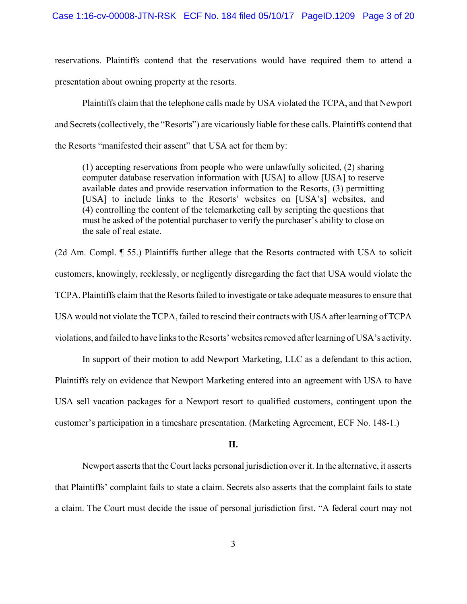reservations. Plaintiffs contend that the reservations would have required them to attend a presentation about owning property at the resorts.

Plaintiffs claim that the telephone calls made by USA violated the TCPA, and that Newport and Secrets (collectively, the "Resorts") are vicariously liable for these calls. Plaintiffs contend that the Resorts "manifested their assent" that USA act for them by:

(1) accepting reservations from people who were unlawfully solicited, (2) sharing computer database reservation information with [USA] to allow [USA] to reserve available dates and provide reservation information to the Resorts, (3) permitting [USA] to include links to the Resorts' websites on [USA's] websites, and (4) controlling the content of the telemarketing call by scripting the questions that must be asked of the potential purchaser to verify the purchaser's ability to close on the sale of real estate.

(2d Am. Compl. ¶ 55.) Plaintiffs further allege that the Resorts contracted with USA to solicit customers, knowingly, recklessly, or negligently disregarding the fact that USA would violate the TCPA. Plaintiffs claim that the Resorts failed to investigate or take adequate measures to ensure that USA would not violate the TCPA, failed to rescind their contracts with USA after learning of TCPA violations, and failed to have links to the Resorts' websites removed after learning of USA's activity.

In support of their motion to add Newport Marketing, LLC as a defendant to this action, Plaintiffs rely on evidence that Newport Marketing entered into an agreement with USA to have USA sell vacation packages for a Newport resort to qualified customers, contingent upon the customer's participation in a timeshare presentation. (Marketing Agreement, ECF No. 148-1.)

#### **II.**

Newport asserts that the Court lacks personal jurisdiction over it. In the alternative, it asserts that Plaintiffs' complaint fails to state a claim. Secrets also asserts that the complaint fails to state a claim. The Court must decide the issue of personal jurisdiction first. "A federal court may not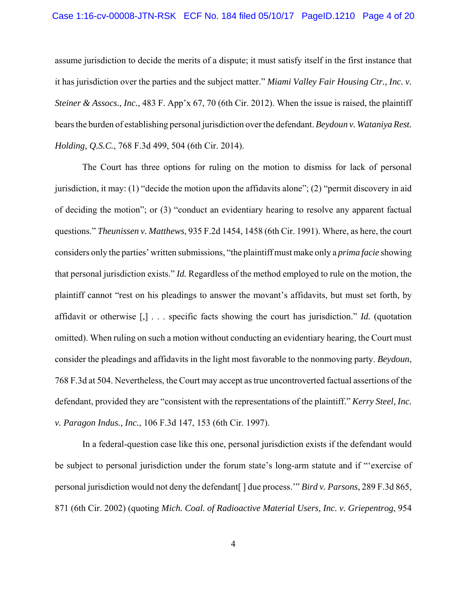# Case 1:16-cv-00008-JTN-RSK ECF No. 184 filed 05/10/17 PageID.1210 Page 4 of 20

assume jurisdiction to decide the merits of a dispute; it must satisfy itself in the first instance that it has jurisdiction over the parties and the subject matter." *Miami Valley Fair Housing Ctr., Inc. v. Steiner & Assocs., Inc.*, 483 F. App'x 67, 70 (6th Cir. 2012). When the issue is raised, the plaintiff bears the burden of establishing personal jurisdiction over the defendant. *Beydoun v. Wataniya Rest. Holding, Q.S.C.*, 768 F.3d 499, 504 (6th Cir. 2014).

The Court has three options for ruling on the motion to dismiss for lack of personal jurisdiction, it may: (1) "decide the motion upon the affidavits alone"; (2) "permit discovery in aid of deciding the motion"; or (3) "conduct an evidentiary hearing to resolve any apparent factual questions." *Theunissen v. Matthews*, 935 F.2d 1454, 1458 (6th Cir. 1991). Where, as here, the court considers only the parties' written submissions, "the plaintiff must make only a *prima facie* showing that personal jurisdiction exists." *Id.* Regardless of the method employed to rule on the motion, the plaintiff cannot "rest on his pleadings to answer the movant's affidavits, but must set forth, by affidavit or otherwise [,] . . . specific facts showing the court has jurisdiction." *Id.* (quotation omitted). When ruling on such a motion without conducting an evidentiary hearing, the Court must consider the pleadings and affidavits in the light most favorable to the nonmoving party. *Beydoun*, 768 F.3d at 504. Nevertheless, the Court may accept as true uncontroverted factual assertions of the defendant, provided they are "consistent with the representations of the plaintiff." *Kerry Steel, Inc. v. Paragon Indus., Inc.*, 106 F.3d 147, 153 (6th Cir. 1997).

In a federal-question case like this one, personal jurisdiction exists if the defendant would be subject to personal jurisdiction under the forum state's long-arm statute and if "'exercise of personal jurisdiction would not deny the defendant[ ] due process.'" *Bird v. Parsons*, 289 F.3d 865, 871 (6th Cir. 2002) (quoting *Mich. Coal. of Radioactive Material Users, Inc. v. Griepentrog*, 954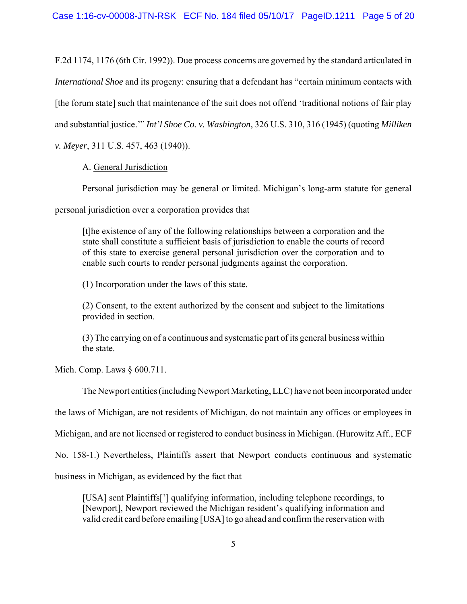F.2d 1174, 1176 (6th Cir. 1992)). Due process concerns are governed by the standard articulated in *International Shoe* and its progeny: ensuring that a defendant has "certain minimum contacts with [the forum state] such that maintenance of the suit does not offend 'traditional notions of fair play and substantial justice.'" *Int'l Shoe Co. v. Washington*, 326 U.S. 310, 316 (1945) (quoting *Milliken v. Meyer*, 311 U.S. 457, 463 (1940)).

# A. General Jurisdiction

Personal jurisdiction may be general or limited. Michigan's long-arm statute for general

personal jurisdiction over a corporation provides that

[t]he existence of any of the following relationships between a corporation and the state shall constitute a sufficient basis of jurisdiction to enable the courts of record of this state to exercise general personal jurisdiction over the corporation and to enable such courts to render personal judgments against the corporation.

(1) Incorporation under the laws of this state.

(2) Consent, to the extent authorized by the consent and subject to the limitations provided in section.

(3) The carrying on of a continuous and systematic part of its general business within the state.

Mich. Comp. Laws § 600.711.

The Newport entities (including Newport Marketing, LLC) have not been incorporated under

the laws of Michigan, are not residents of Michigan, do not maintain any offices or employees in

Michigan, and are not licensed or registered to conduct business in Michigan. (Hurowitz Aff., ECF

No. 158-1.) Nevertheless, Plaintiffs assert that Newport conducts continuous and systematic

business in Michigan, as evidenced by the fact that

[USA] sent Plaintiffs['] qualifying information, including telephone recordings, to [Newport], Newport reviewed the Michigan resident's qualifying information and valid credit card before emailing [USA] to go ahead and confirm the reservation with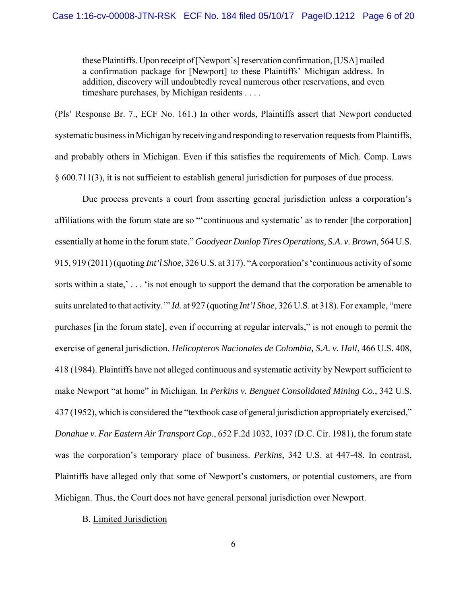these Plaintiffs. Upon receipt of [Newport's] reservation confirmation, [USA] mailed a confirmation package for [Newport] to these Plaintiffs' Michigan address. In addition, discovery will undoubtedly reveal numerous other reservations, and even timeshare purchases, by Michigan residents . . . .

(Pls' Response Br. 7., ECF No. 161.) In other words, Plaintiffs assert that Newport conducted systematic business in Michigan by receiving and responding to reservation requests from Plaintiffs, and probably others in Michigan. Even if this satisfies the requirements of Mich. Comp. Laws § 600.711(3), it is not sufficient to establish general jurisdiction for purposes of due process.

Due process prevents a court from asserting general jurisdiction unless a corporation's affiliations with the forum state are so "'continuous and systematic' as to render [the corporation] essentially at home in the forum state." *Goodyear Dunlop Tires Operations, S.A. v. Brown*, 564 U.S. 915, 919 (2011) (quoting *Int'l Shoe*, 326 U.S. at 317). "A corporation's 'continuous activity of some sorts within a state,'... 'is not enough to support the demand that the corporation be amenable to suits unrelated to that activity.'" *Id.* at 927 (quoting *Int'l Shoe*, 326 U.S. at 318). For example, "mere purchases [in the forum state], even if occurring at regular intervals," is not enough to permit the exercise of general jurisdiction. *Helicopteros Nacionales de Colombia, S.A. v. Hall*, 466 U.S. 408, 418 (1984). Plaintiffs have not alleged continuous and systematic activity by Newport sufficient to make Newport "at home" in Michigan. In *Perkins v. Benguet Consolidated Mining Co.*, 342 U.S. 437 (1952), which is considered the "textbook case of general jurisdiction appropriately exercised," *Donahue v. Far Eastern Air Transport Cop.*, 652 F.2d 1032, 1037 (D.C. Cir. 1981), the forum state was the corporation's temporary place of business. *Perkins*, 342 U.S. at 447-48. In contrast, Plaintiffs have alleged only that some of Newport's customers, or potential customers, are from Michigan. Thus, the Court does not have general personal jurisdiction over Newport.

### B. Limited Jurisdiction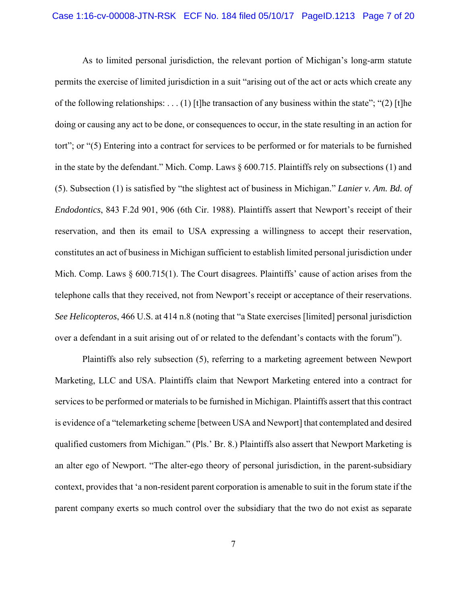As to limited personal jurisdiction, the relevant portion of Michigan's long-arm statute permits the exercise of limited jurisdiction in a suit "arising out of the act or acts which create any of the following relationships: . . . (1) [t]he transaction of any business within the state"; "(2) [t]he doing or causing any act to be done, or consequences to occur, in the state resulting in an action for tort"; or "(5) Entering into a contract for services to be performed or for materials to be furnished in the state by the defendant." Mich. Comp. Laws  $\S 600.715$ . Plaintiffs rely on subsections (1) and (5). Subsection (1) is satisfied by "the slightest act of business in Michigan." *Lanier v. Am. Bd. of Endodontics*, 843 F.2d 901, 906 (6th Cir. 1988). Plaintiffs assert that Newport's receipt of their reservation, and then its email to USA expressing a willingness to accept their reservation, constitutes an act of business in Michigan sufficient to establish limited personal jurisdiction under Mich. Comp. Laws § 600.715(1). The Court disagrees. Plaintiffs' cause of action arises from the telephone calls that they received, not from Newport's receipt or acceptance of their reservations. *See Helicopteros*, 466 U.S. at 414 n.8 (noting that "a State exercises [limited] personal jurisdiction over a defendant in a suit arising out of or related to the defendant's contacts with the forum").

Plaintiffs also rely subsection (5), referring to a marketing agreement between Newport Marketing, LLC and USA. Plaintiffs claim that Newport Marketing entered into a contract for services to be performed or materials to be furnished in Michigan. Plaintiffs assert that this contract is evidence of a "telemarketing scheme [between USA and Newport] that contemplated and desired qualified customers from Michigan." (Pls.' Br. 8.) Plaintiffs also assert that Newport Marketing is an alter ego of Newport. "The alter-ego theory of personal jurisdiction, in the parent-subsidiary context, provides that 'a non-resident parent corporation is amenable to suit in the forum state if the parent company exerts so much control over the subsidiary that the two do not exist as separate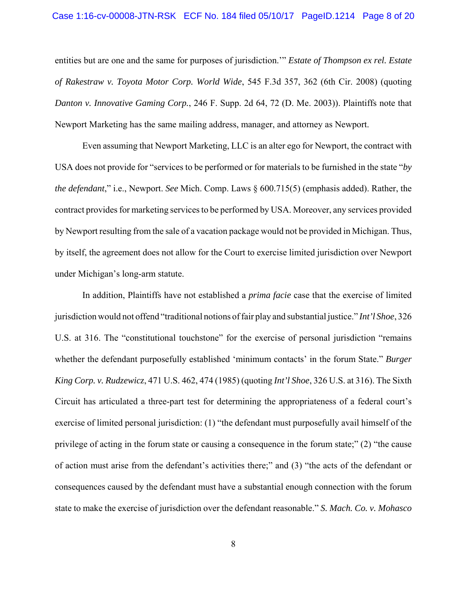# Case 1:16-cv-00008-JTN-RSK ECF No. 184 filed 05/10/17 PageID.1214 Page 8 of 20

entities but are one and the same for purposes of jurisdiction.'" *Estate of Thompson ex rel. Estate of Rakestraw v. Toyota Motor Corp. World Wide*, 545 F.3d 357, 362 (6th Cir. 2008) (quoting *Danton v. Innovative Gaming Corp.*, 246 F. Supp. 2d 64, 72 (D. Me. 2003)). Plaintiffs note that Newport Marketing has the same mailing address, manager, and attorney as Newport.

Even assuming that Newport Marketing, LLC is an alter ego for Newport, the contract with USA does not provide for "services to be performed or for materials to be furnished in the state "*by the defendant*," i.e., Newport. *See* Mich. Comp. Laws § 600.715(5) (emphasis added). Rather, the contract provides for marketing services to be performed by USA. Moreover, any services provided by Newport resulting from the sale of a vacation package would not be provided in Michigan. Thus, by itself, the agreement does not allow for the Court to exercise limited jurisdiction over Newport under Michigan's long-arm statute.

In addition, Plaintiffs have not established a *prima facie* case that the exercise of limited jurisdiction would not offend "traditional notions of fair play and substantial justice." *Int'l Shoe*, 326 U.S. at 316. The "constitutional touchstone" for the exercise of personal jurisdiction "remains whether the defendant purposefully established 'minimum contacts' in the forum State." *Burger King Corp. v. Rudzewicz*, 471 U.S. 462, 474 (1985) (quoting *Int'l Shoe*, 326 U.S. at 316). The Sixth Circuit has articulated a three-part test for determining the appropriateness of a federal court's exercise of limited personal jurisdiction: (1) "the defendant must purposefully avail himself of the privilege of acting in the forum state or causing a consequence in the forum state;" (2) "the cause of action must arise from the defendant's activities there;" and (3) "the acts of the defendant or consequences caused by the defendant must have a substantial enough connection with the forum state to make the exercise of jurisdiction over the defendant reasonable." *S. Mach. Co. v. Mohasco*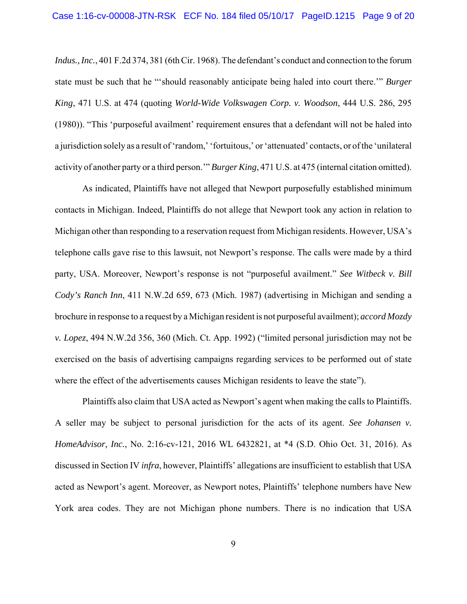*Indus., Inc.*, 401 F.2d 374, 381 (6th Cir. 1968). The defendant's conduct and connection to the forum state must be such that he "'should reasonably anticipate being haled into court there.'" *Burger King*, 471 U.S. at 474 (quoting *World-Wide Volkswagen Corp. v. Woodson*, 444 U.S. 286, 295 (1980)). "This 'purposeful availment' requirement ensures that a defendant will not be haled into a jurisdiction solely as a result of 'random,' 'fortuitous,' or 'attenuated' contacts, or of the 'unilateral activity of another party or a third person.'" *Burger King*, 471 U.S. at 475 (internal citation omitted).

As indicated, Plaintiffs have not alleged that Newport purposefully established minimum contacts in Michigan. Indeed, Plaintiffs do not allege that Newport took any action in relation to Michigan other than responding to a reservation request from Michigan residents. However, USA's telephone calls gave rise to this lawsuit, not Newport's response. The calls were made by a third party, USA. Moreover, Newport's response is not "purposeful availment." *See Witbeck v. Bill Cody's Ranch Inn*, 411 N.W.2d 659, 673 (Mich. 1987) (advertising in Michigan and sending a brochure in response to a request by a Michigan resident is not purposeful availment); *accord Mozdy v. Lopez*, 494 N.W.2d 356, 360 (Mich. Ct. App. 1992) ("limited personal jurisdiction may not be exercised on the basis of advertising campaigns regarding services to be performed out of state where the effect of the advertisements causes Michigan residents to leave the state").

Plaintiffs also claim that USA acted as Newport's agent when making the calls to Plaintiffs. A seller may be subject to personal jurisdiction for the acts of its agent. *See Johansen v. HomeAdvisor, Inc.*, No. 2:16-cv-121, 2016 WL 6432821, at \*4 (S.D. Ohio Oct. 31, 2016). As discussed in Section IV *infra*, however, Plaintiffs' allegations are insufficient to establish that USA acted as Newport's agent. Moreover, as Newport notes, Plaintiffs' telephone numbers have New York area codes. They are not Michigan phone numbers. There is no indication that USA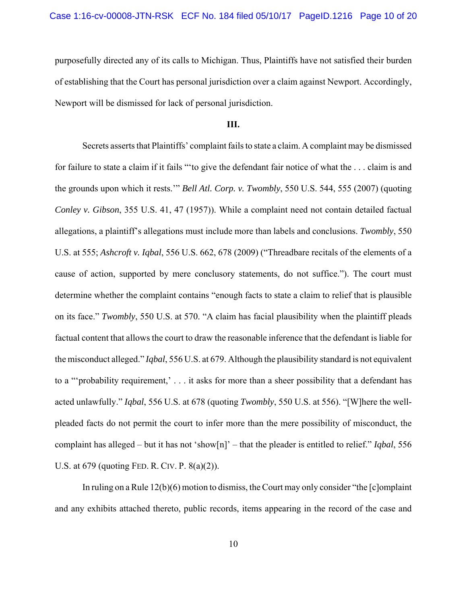purposefully directed any of its calls to Michigan. Thus, Plaintiffs have not satisfied their burden of establishing that the Court has personal jurisdiction over a claim against Newport. Accordingly, Newport will be dismissed for lack of personal jurisdiction.

#### **III.**

Secrets asserts that Plaintiffs' complaint fails to state a claim. A complaint may be dismissed for failure to state a claim if it fails "'to give the defendant fair notice of what the . . . claim is and the grounds upon which it rests.'" *Bell Atl. Corp. v. Twombly*, 550 U.S. 544, 555 (2007) (quoting *Conley v. Gibson*, 355 U.S. 41, 47 (1957)). While a complaint need not contain detailed factual allegations, a plaintiff's allegations must include more than labels and conclusions. *Twombly*, 550 U.S. at 555; *Ashcroft v. Iqbal*, 556 U.S. 662, 678 (2009) ("Threadbare recitals of the elements of a cause of action, supported by mere conclusory statements, do not suffice."). The court must determine whether the complaint contains "enough facts to state a claim to relief that is plausible on its face." *Twombly*, 550 U.S. at 570. "A claim has facial plausibility when the plaintiff pleads factual content that allows the court to draw the reasonable inference that the defendant is liable for the misconduct alleged." *Iqbal*, 556 U.S. at 679. Although the plausibility standard is not equivalent to a "'probability requirement,' . . . it asks for more than a sheer possibility that a defendant has acted unlawfully." *Iqbal*, 556 U.S. at 678 (quoting *Twombly*, 550 U.S. at 556). "[W]here the wellpleaded facts do not permit the court to infer more than the mere possibility of misconduct, the complaint has alleged – but it has not 'show[n]' – that the pleader is entitled to relief." *Iqbal*, 556 U.S. at 679 (quoting FED. R. CIV. P. 8(a)(2)).

In ruling on a Rule 12(b)(6) motion to dismiss, the Court may only consider "the [c]omplaint and any exhibits attached thereto, public records, items appearing in the record of the case and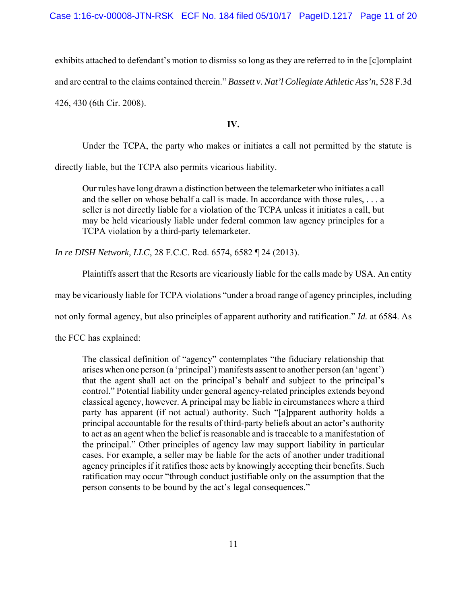exhibits attached to defendant's motion to dismiss so long as they are referred to in the [c]omplaint and are central to the claims contained therein." *Bassett v. Nat'l Collegiate Athletic Ass'n*, 528 F.3d 426, 430 (6th Cir. 2008).

**IV.**

Under the TCPA, the party who makes or initiates a call not permitted by the statute is

directly liable, but the TCPA also permits vicarious liability.

Our rules have long drawn a distinction between the telemarketer who initiates a call and the seller on whose behalf a call is made. In accordance with those rules, . . . a seller is not directly liable for a violation of the TCPA unless it initiates a call, but may be held vicariously liable under federal common law agency principles for a TCPA violation by a third-party telemarketer.

*In re DISH Network, LLC*, 28 F.C.C. Rcd. 6574, 6582 ¶ 24 (2013).

Plaintiffs assert that the Resorts are vicariously liable for the calls made by USA. An entity

may be vicariously liable for TCPA violations "under a broad range of agency principles, including

not only formal agency, but also principles of apparent authority and ratification." *Id.* at 6584. As

the FCC has explained:

The classical definition of "agency" contemplates "the fiduciary relationship that arises when one person (a 'principal') manifests assent to another person (an 'agent') that the agent shall act on the principal's behalf and subject to the principal's control." Potential liability under general agency-related principles extends beyond classical agency, however. A principal may be liable in circumstances where a third party has apparent (if not actual) authority. Such "[a]pparent authority holds a principal accountable for the results of third-party beliefs about an actor's authority to act as an agent when the belief is reasonable and is traceable to a manifestation of the principal." Other principles of agency law may support liability in particular cases. For example, a seller may be liable for the acts of another under traditional agency principles if it ratifies those acts by knowingly accepting their benefits. Such ratification may occur "through conduct justifiable only on the assumption that the person consents to be bound by the act's legal consequences."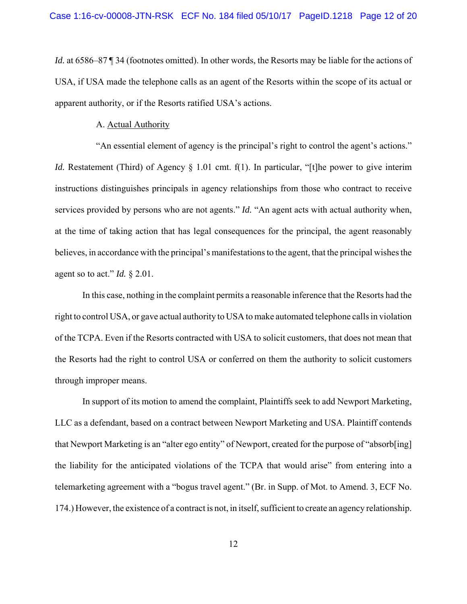*Id.* at 6586–87 | 34 (footnotes omitted). In other words, the Resorts may be liable for the actions of USA, if USA made the telephone calls as an agent of the Resorts within the scope of its actual or apparent authority, or if the Resorts ratified USA's actions.

#### A. Actual Authority

"An essential element of agency is the principal's right to control the agent's actions." *Id.* Restatement (Third) of Agency § 1.01 cmt. f(1). In particular, "[t]he power to give interim instructions distinguishes principals in agency relationships from those who contract to receive services provided by persons who are not agents." *Id.* "An agent acts with actual authority when, at the time of taking action that has legal consequences for the principal, the agent reasonably believes, in accordance with the principal's manifestations to the agent, that the principal wishes the agent so to act." *Id.* § 2.01.

In this case, nothing in the complaint permits a reasonable inference that the Resorts had the right to control USA, or gave actual authority to USA to make automated telephone calls in violation of the TCPA. Even if the Resorts contracted with USA to solicit customers, that does not mean that the Resorts had the right to control USA or conferred on them the authority to solicit customers through improper means.

In support of its motion to amend the complaint, Plaintiffs seek to add Newport Marketing, LLC as a defendant, based on a contract between Newport Marketing and USA. Plaintiff contends that Newport Marketing is an "alter ego entity" of Newport, created for the purpose of "absorb[ing] the liability for the anticipated violations of the TCPA that would arise" from entering into a telemarketing agreement with a "bogus travel agent." (Br. in Supp. of Mot. to Amend. 3, ECF No. 174.) However, the existence of a contract is not, in itself, sufficient to create an agency relationship.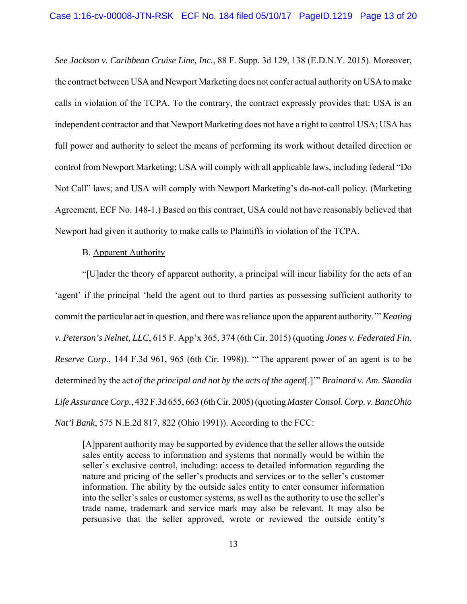*See Jackson v. Caribbean Cruise Line, Inc.*, 88 F. Supp. 3d 129, 138 (E.D.N.Y. 2015). Moreover, the contract between USA and Newport Marketing does not confer actual authority on USA to make calls in violation of the TCPA. To the contrary, the contract expressly provides that: USA is an independent contractor and that Newport Marketing does not have a right to control USA; USA has full power and authority to select the means of performing its work without detailed direction or control from Newport Marketing; USA will comply with all applicable laws, including federal "Do Not Call" laws; and USA will comply with Newport Marketing's do-not-call policy. (Marketing Agreement, ECF No. 148-1.) Based on this contract, USA could not have reasonably believed that Newport had given it authority to make calls to Plaintiffs in violation of the TCPA.

# B. Apparent Authority

"[U]nder the theory of apparent authority, a principal will incur liability for the acts of an 'agent' if the principal 'held the agent out to third parties as possessing sufficient authority to commit the particular act in question, and there was reliance upon the apparent authority.'" *Keating v. Peterson's Nelnet, LLC*, 615 F. App'x 365, 374 (6th Cir. 2015) (quoting *Jones v. Federated Fin. Reserve Corp.*, 144 F.3d 961, 965 (6th Cir. 1998)). "'The apparent power of an agent is to be determined by the act *of the principal and not by the acts of the agent*[.]'" *Brainard v. Am. Skandia Life Assurance Corp.*, 432 F.3d 655, 663 (6th Cir. 2005) (quoting *Master Consol. Corp. v. BancOhio Nat'l Bank*, 575 N.E.2d 817, 822 (Ohio 1991)). According to the FCC:

[A]pparent authority may be supported by evidence that the seller allows the outside sales entity access to information and systems that normally would be within the seller's exclusive control, including: access to detailed information regarding the nature and pricing of the seller's products and services or to the seller's customer information. The ability by the outside sales entity to enter consumer information into the seller's sales or customer systems, as well as the authority to use the seller's trade name, trademark and service mark may also be relevant. It may also be persuasive that the seller approved, wrote or reviewed the outside entity's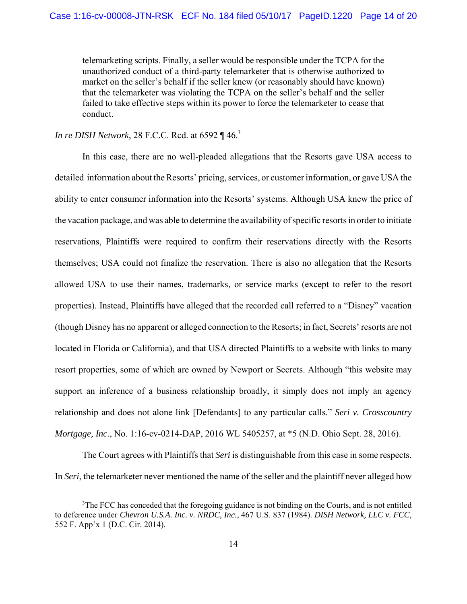telemarketing scripts. Finally, a seller would be responsible under the TCPA for the unauthorized conduct of a third-party telemarketer that is otherwise authorized to market on the seller's behalf if the seller knew (or reasonably should have known) that the telemarketer was violating the TCPA on the seller's behalf and the seller failed to take effective steps within its power to force the telemarketer to cease that conduct.

*In re DISH Network*, 28 F.C.C. Rcd. at 6592 ¶ 46.<sup>3</sup>

In this case, there are no well-pleaded allegations that the Resorts gave USA access to detailed information about the Resorts' pricing, services, or customer information, or gave USA the ability to enter consumer information into the Resorts' systems. Although USA knew the price of the vacation package, and was able to determine the availability of specific resorts in order to initiate reservations, Plaintiffs were required to confirm their reservations directly with the Resorts themselves; USA could not finalize the reservation. There is also no allegation that the Resorts allowed USA to use their names, trademarks, or service marks (except to refer to the resort properties). Instead, Plaintiffs have alleged that the recorded call referred to a "Disney" vacation (though Disney has no apparent or alleged connection to the Resorts; in fact, Secrets' resorts are not located in Florida or California), and that USA directed Plaintiffs to a website with links to many resort properties, some of which are owned by Newport or Secrets. Although "this website may support an inference of a business relationship broadly, it simply does not imply an agency relationship and does not alone link [Defendants] to any particular calls." *Seri v. Crosscountry Mortgage, Inc.*, No. 1:16-cv-0214-DAP, 2016 WL 5405257, at \*5 (N.D. Ohio Sept. 28, 2016).

The Court agrees with Plaintiffs that *Seri* is distinguishable from this case in some respects. In *Seri*, the telemarketer never mentioned the name of the seller and the plaintiff never alleged how

<sup>&</sup>lt;sup>3</sup>The FCC has conceded that the foregoing guidance is not binding on the Courts, and is not entitled to deference under *Chevron U.S.A. Inc. v. NRDC, Inc.*, 467 U.S. 837 (1984). *DISH Network, LLC v. FCC*, 552 F. App'x 1 (D.C. Cir. 2014).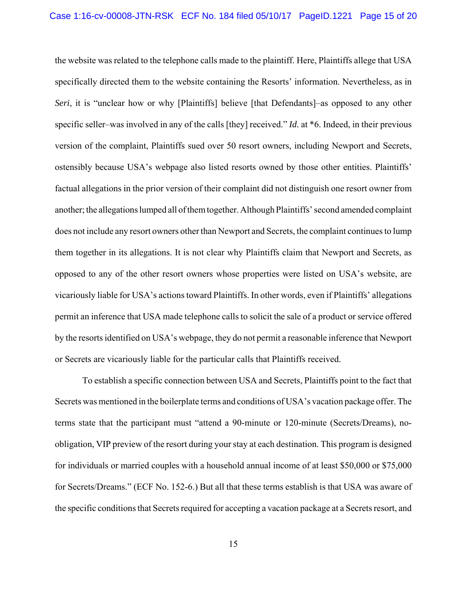the website was related to the telephone calls made to the plaintiff. Here, Plaintiffs allege that USA specifically directed them to the website containing the Resorts' information. Nevertheless, as in *Seri*, it is "unclear how or why [Plaintiffs] believe [that Defendants]–as opposed to any other specific seller–was involved in any of the calls [they] received." *Id.* at \*6. Indeed, in their previous version of the complaint, Plaintiffs sued over 50 resort owners, including Newport and Secrets, ostensibly because USA's webpage also listed resorts owned by those other entities. Plaintiffs' factual allegations in the prior version of their complaint did not distinguish one resort owner from another; the allegations lumped all of them together. Although Plaintiffs' second amended complaint does not include any resort owners other than Newport and Secrets, the complaint continues to lump them together in its allegations. It is not clear why Plaintiffs claim that Newport and Secrets, as opposed to any of the other resort owners whose properties were listed on USA's website, are vicariously liable for USA's actions toward Plaintiffs. In other words, even if Plaintiffs' allegations permit an inference that USA made telephone calls to solicit the sale of a product or service offered by the resorts identified on USA's webpage, they do not permit a reasonable inference that Newport or Secrets are vicariously liable for the particular calls that Plaintiffs received.

To establish a specific connection between USA and Secrets, Plaintiffs point to the fact that Secrets was mentioned in the boilerplate terms and conditions of USA's vacation package offer. The terms state that the participant must "attend a 90-minute or 120-minute (Secrets/Dreams), noobligation, VIP preview of the resort during your stay at each destination. This program is designed for individuals or married couples with a household annual income of at least \$50,000 or \$75,000 for Secrets/Dreams." (ECF No. 152-6.) But all that these terms establish is that USA was aware of the specific conditions that Secrets required for accepting a vacation package at a Secrets resort, and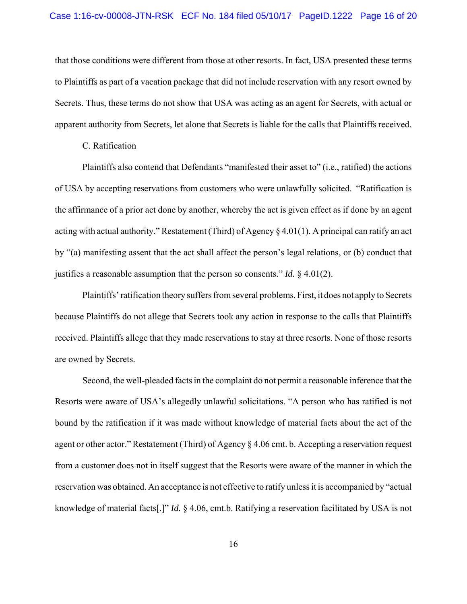that those conditions were different from those at other resorts. In fact, USA presented these terms to Plaintiffs as part of a vacation package that did not include reservation with any resort owned by Secrets. Thus, these terms do not show that USA was acting as an agent for Secrets, with actual or apparent authority from Secrets, let alone that Secrets is liable for the calls that Plaintiffs received.

### C. Ratification

Plaintiffs also contend that Defendants "manifested their asset to" (i.e., ratified) the actions of USA by accepting reservations from customers who were unlawfully solicited. "Ratification is the affirmance of a prior act done by another, whereby the act is given effect as if done by an agent acting with actual authority." Restatement (Third) of Agency § 4.01(1). A principal can ratify an act by "(a) manifesting assent that the act shall affect the person's legal relations, or (b) conduct that justifies a reasonable assumption that the person so consents." *Id.* § 4.01(2).

Plaintiffs' ratification theory suffers from several problems. First, it does not apply to Secrets because Plaintiffs do not allege that Secrets took any action in response to the calls that Plaintiffs received. Plaintiffs allege that they made reservations to stay at three resorts. None of those resorts are owned by Secrets.

Second, the well-pleaded facts in the complaint do not permit a reasonable inference that the Resorts were aware of USA's allegedly unlawful solicitations. "A person who has ratified is not bound by the ratification if it was made without knowledge of material facts about the act of the agent or other actor." Restatement (Third) of Agency § 4.06 cmt. b. Accepting a reservation request from a customer does not in itself suggest that the Resorts were aware of the manner in which the reservation was obtained. An acceptance is not effective to ratify unless it is accompanied by "actual knowledge of material facts[.]" *Id.* § 4.06, cmt.b. Ratifying a reservation facilitated by USA is not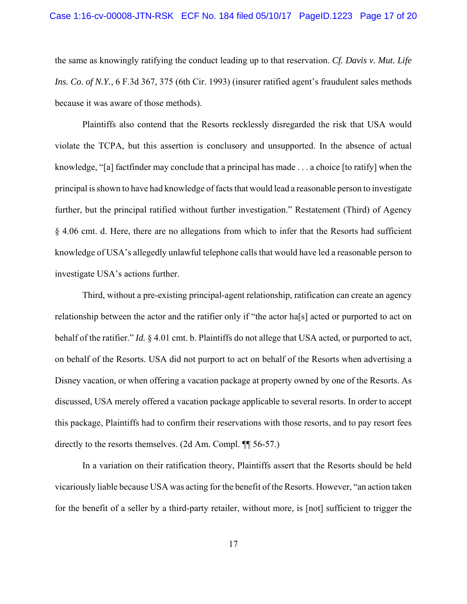the same as knowingly ratifying the conduct leading up to that reservation. *Cf. Davis v. Mut. Life Ins. Co. of N.Y.*, 6 F.3d 367, 375 (6th Cir. 1993) (insurer ratified agent's fraudulent sales methods because it was aware of those methods).

Plaintiffs also contend that the Resorts recklessly disregarded the risk that USA would violate the TCPA, but this assertion is conclusory and unsupported. In the absence of actual knowledge, "[a] factfinder may conclude that a principal has made . . . a choice [to ratify] when the principal is shown to have had knowledge of facts that would lead a reasonable person to investigate further, but the principal ratified without further investigation." Restatement (Third) of Agency § 4.06 cmt. d. Here, there are no allegations from which to infer that the Resorts had sufficient knowledge of USA's allegedly unlawful telephone calls that would have led a reasonable person to investigate USA's actions further.

Third, without a pre-existing principal-agent relationship, ratification can create an agency relationship between the actor and the ratifier only if "the actor ha[s] acted or purported to act on behalf of the ratifier." *Id.* § 4.01 cmt. b. Plaintiffs do not allege that USA acted, or purported to act, on behalf of the Resorts. USA did not purport to act on behalf of the Resorts when advertising a Disney vacation, or when offering a vacation package at property owned by one of the Resorts. As discussed, USA merely offered a vacation package applicable to several resorts. In order to accept this package, Plaintiffs had to confirm their reservations with those resorts, and to pay resort fees directly to the resorts themselves. (2d Am. Compl.  $\P$  56-57.)

In a variation on their ratification theory, Plaintiffs assert that the Resorts should be held vicariously liable because USA was acting for the benefit of the Resorts. However, "an action taken for the benefit of a seller by a third-party retailer, without more, is [not] sufficient to trigger the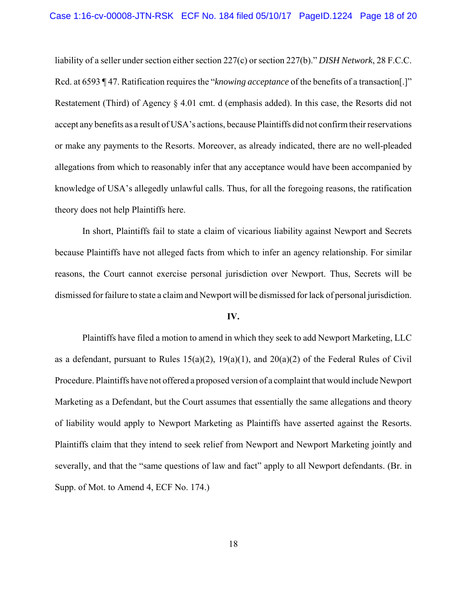liability of a seller under section either section 227(c) or section 227(b)." *DISH Network*, 28 F.C.C. Rcd. at 6593 ¶ 47. Ratification requires the "*knowing acceptance* of the benefits of a transaction[.]" Restatement (Third) of Agency  $\S$  4.01 cmt. d (emphasis added). In this case, the Resorts did not accept any benefits as a result of USA's actions, because Plaintiffs did not confirm their reservations or make any payments to the Resorts. Moreover, as already indicated, there are no well-pleaded allegations from which to reasonably infer that any acceptance would have been accompanied by knowledge of USA's allegedly unlawful calls. Thus, for all the foregoing reasons, the ratification theory does not help Plaintiffs here.

In short, Plaintiffs fail to state a claim of vicarious liability against Newport and Secrets because Plaintiffs have not alleged facts from which to infer an agency relationship. For similar reasons, the Court cannot exercise personal jurisdiction over Newport. Thus, Secrets will be dismissed for failure to state a claim and Newport will be dismissed for lack of personal jurisdiction.

#### **IV.**

Plaintiffs have filed a motion to amend in which they seek to add Newport Marketing, LLC as a defendant, pursuant to Rules  $15(a)(2)$ ,  $19(a)(1)$ , and  $20(a)(2)$  of the Federal Rules of Civil Procedure. Plaintiffs have not offered a proposed version of a complaint that would include Newport Marketing as a Defendant, but the Court assumes that essentially the same allegations and theory of liability would apply to Newport Marketing as Plaintiffs have asserted against the Resorts. Plaintiffs claim that they intend to seek relief from Newport and Newport Marketing jointly and severally, and that the "same questions of law and fact" apply to all Newport defendants. (Br. in Supp. of Mot. to Amend 4, ECF No. 174.)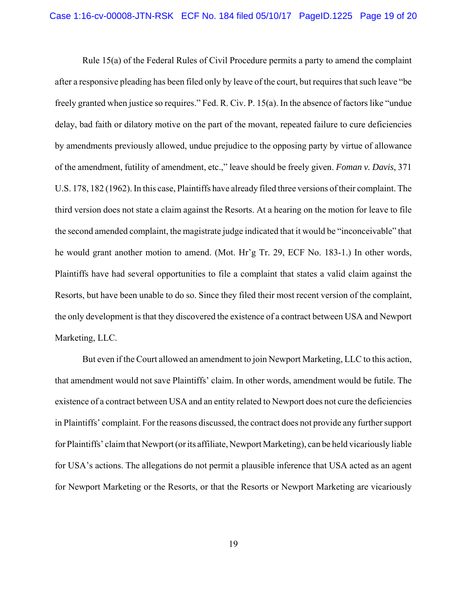Rule 15(a) of the Federal Rules of Civil Procedure permits a party to amend the complaint after a responsive pleading has been filed only by leave of the court, but requires that such leave "be freely granted when justice so requires." Fed. R. Civ. P. 15(a). In the absence of factors like "undue delay, bad faith or dilatory motive on the part of the movant, repeated failure to cure deficiencies by amendments previously allowed, undue prejudice to the opposing party by virtue of allowance of the amendment, futility of amendment, etc.," leave should be freely given. *Foman v. Davis*, 371 U.S. 178, 182 (1962). In this case, Plaintiffs have already filed three versions of their complaint. The third version does not state a claim against the Resorts. At a hearing on the motion for leave to file the second amended complaint, the magistrate judge indicated that it would be "inconceivable" that he would grant another motion to amend. (Mot. Hr'g Tr. 29, ECF No. 183-1.) In other words, Plaintiffs have had several opportunities to file a complaint that states a valid claim against the Resorts, but have been unable to do so. Since they filed their most recent version of the complaint, the only development is that they discovered the existence of a contract between USA and Newport Marketing, LLC.

But even if the Court allowed an amendment to join Newport Marketing, LLC to this action, that amendment would not save Plaintiffs' claim. In other words, amendment would be futile. The existence of a contract between USA and an entity related to Newport does not cure the deficiencies in Plaintiffs' complaint. For the reasons discussed, the contract does not provide any further support for Plaintiffs' claim that Newport (or its affiliate, Newport Marketing), can be held vicariously liable for USA's actions. The allegations do not permit a plausible inference that USA acted as an agent for Newport Marketing or the Resorts, or that the Resorts or Newport Marketing are vicariously